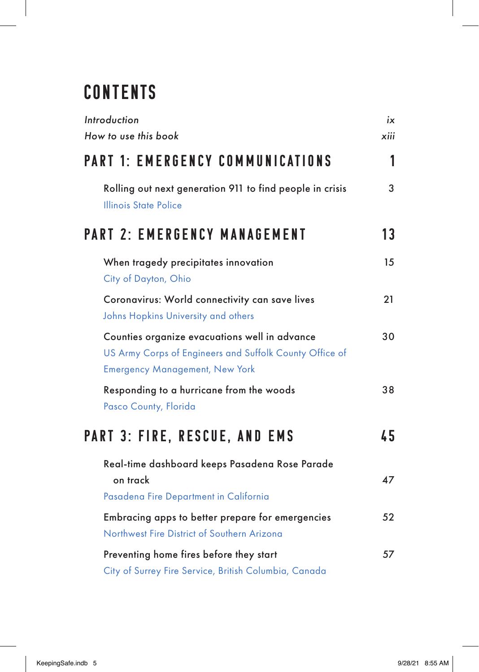## **CONTENTS**

| Introduction<br>How to use this book                                                                                                              | iх<br>xiii |
|---------------------------------------------------------------------------------------------------------------------------------------------------|------------|
| <b>PART 1: EMERGENCY COMMUNICATIONS</b>                                                                                                           | 1          |
| Rolling out next generation 911 to find people in crisis<br>Illinois State Police                                                                 | 3          |
| <b>PART 2: EMERGENCY MANAGEMENT</b>                                                                                                               | 13         |
| When tragedy precipitates innovation<br>City of Dayton, Ohio                                                                                      | 15         |
| Coronavirus: World connectivity can save lives<br>Johns Hopkins University and others                                                             | 21         |
| Counties organize evacuations well in advance<br>US Army Corps of Engineers and Suffolk County Office of<br><b>Emergency Management, New York</b> | 30         |
| Responding to a hurricane from the woods<br>Pasco County, Florida                                                                                 | 38         |
| <b>PART 3: FIRE, RESCUE, AND EMS</b>                                                                                                              | 45         |
| Real-time dashboard keeps Pasadena Rose Parade<br>on track<br>Pasadena Fire Department in California                                              | 47         |
| Embracing apps to better prepare for emergencies<br>Northwest Fire District of Southern Arizona                                                   | 52         |
| Preventing home fires before they start<br>City of Surrey Fire Service, British Columbia, Canada                                                  | 57         |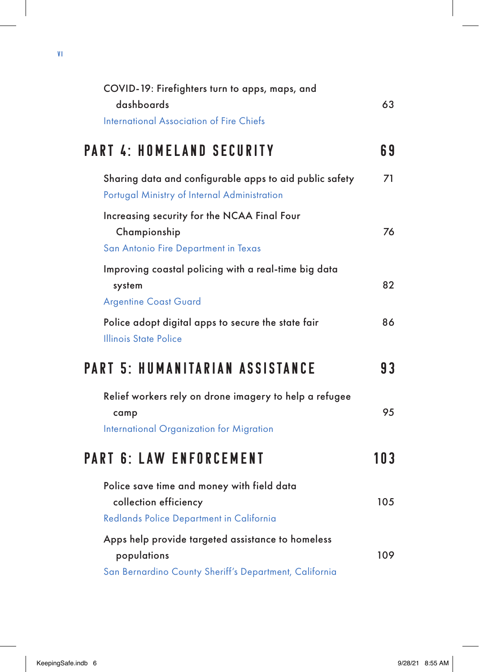| COVID-19: Firefighters turn to apps, maps, and<br>dashboards                                                               | 63  |
|----------------------------------------------------------------------------------------------------------------------------|-----|
| <b>International Association of Fire Chiefs</b>                                                                            |     |
| <b>PART 4: HOMELAND SECURITY</b>                                                                                           | 69  |
| Sharing data and configurable apps to aid public safety<br>Portugal Ministry of Internal Administration                    | 71  |
| Increasing security for the NCAA Final Four<br>Championship<br>San Antonio Fire Department in Texas                        | 76  |
| Improving coastal policing with a real-time big data<br>system<br><b>Argentine Coast Guard</b>                             | 82  |
| Police adopt digital apps to secure the state fair<br><b>Illinois State Police</b>                                         | 86  |
| PART 5: HUMANITARIAN ASSISTANCE                                                                                            | 93  |
| Relief workers rely on drone imagery to help a refugee<br>camp<br>International Organization for Migration                 | 95  |
| <b>PART 6: LAW ENFORCEMENT</b>                                                                                             | 103 |
| Police save time and money with field data<br>collection efficiency<br>Redlands Police Department in California            | 105 |
| Apps help provide targeted assistance to homeless<br>populations<br>San Bernardino County Sheriff's Department, California | 109 |